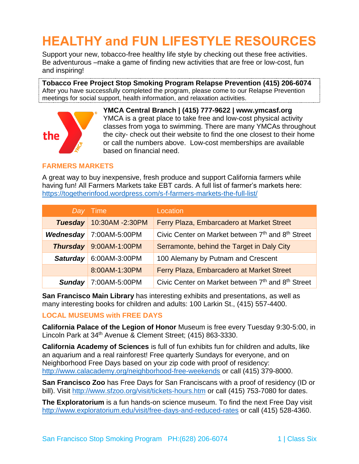# **HEALTHY and FUN LIFESTYLE RESOURCES**

Support your new, tobacco-free healthy life style by checking out these free activities. Be adventurous –make a game of finding new activities that are free or low-cost, fun and inspiring!

**Tobacco Free Project Stop Smoking Program Relapse Prevention (415) 206-6074** After you have successfully completed the program, please come to our Relapse Prevention meetings for social support, health information, and relaxation activities.



**YMCA Central Branch | (415) 777-9622 | www.ymcasf.org** YMCA is a great place to take free and low-cost physical activity classes from yoga to swimming. There are many YMCAs throughout the city- check out their website to find the one closest to their home or call the numbers above. Low-cost memberships are available based on financial need.

## **FARMERS MARKETS**

A great way to buy inexpensive, fresh produce and support California farmers while having fun! All Farmers Markets take EBT cards. A full list of farmer's markets here: <https://togetherinfood.wordpress.com/s-f-farmers-markets-the-full-list/>

|                 | Day Time        | Location                                          |
|-----------------|-----------------|---------------------------------------------------|
| <b>Tuesday</b>  | 10:30AM -2:30PM | Ferry Plaza, Embarcadero at Market Street         |
| Wednesday       | 7:00AM-5:00PM   | Civic Center on Market between 7th and 8th Street |
| <b>Thursday</b> | 9:00AM-1:00PM   | Serramonte, behind the Target in Daly City        |
| <b>Saturday</b> | 6:00AM-3:00PM   | 100 Alemany by Putnam and Crescent                |
|                 | 8:00AM-1:30PM   | Ferry Plaza, Embarcadero at Market Street         |
| <b>Sunday</b>   | 7:00AM-5:00PM   | Civic Center on Market between 7th and 8th Street |

**San Francisco Main Library** has interesting exhibits and presentations, as well as many interesting books for children and adults: 100 Larkin St., (415) 557-4400.

#### **LOCAL MUSEUMS with FREE DAYS**

**California Palace of the Legion of Honor** Museum is free every Tuesday 9:30-5:00, in Lincoln Park at 34th Avenue & Clement Street; (415) 863-3330.

**California Academy of Sciences** is full of fun exhibits fun for children and adults, like an aquarium and a real rainforest! Free quarterly Sundays for everyone, and on Neighborhood Free Days based on your zip code with proof of residency: <http://www.calacademy.org/neighborhood-free-weekends> or call (415) 379-8000.

**San Francisco Zoo** has Free Days for San Franciscans with a proof of residency (ID or bill). Visit<http://www.sfzoo.org/visit/tickets-hours.htm> or call (415) 753-7080 for dates.

**The Exploratorium** is a fun hands-on science museum. To find the next Free Day visit <http://www.exploratorium.edu/visit/free-days-and-reduced-rates> or call (415) 528-4360.